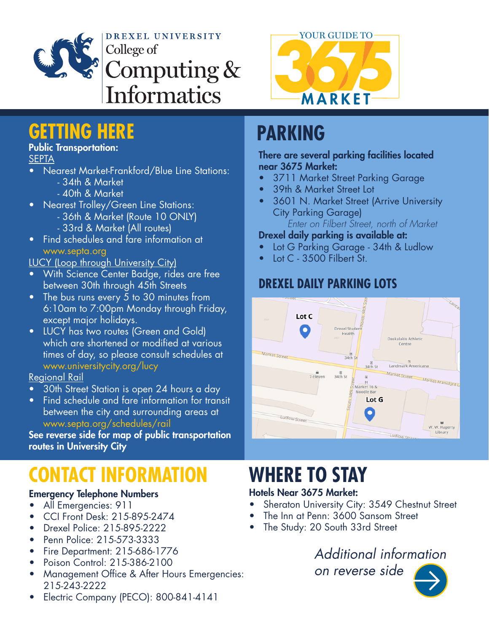

DREXEL UNIVERSITY College of Computing & **Informatics** 



## **GETTING HERE PARKING**

## Public Transportation:

### **SEPTA**

- Nearest Market-Frankford/Blue Line Stations: - 34th & Market
	- 40th & Market
- Nearest Trolley/Green Line Stations:
	- 36th & Market (Route 10 ONLY)
	- 33rd & Market (All routes)
- Find schedules and fare information at www.septa.org

### LUCY (Loop through University City)

- With Science Center Badge, rides are free between 30th through 45th Streets
- The bus runs every 5 to 30 minutes from 6:10am to 7:00pm Monday through Friday, except major holidays.
- LUCY has two routes (Green and Gold) which are shortened or modified at various times of day, so please consult schedules at www.universitycity.org/lucy

## Regional Rail

- 30th Street Station is open 24 hours a day
- Find schedule and fare information for transit between the city and surrounding areas at www.septa.org/schedules/rail

See reverse side for map of public transportation routes in University City

# **CONTACT INFORMATION**

## Emergency Telephone Numbers

- All Emergencies: 911
- CCI Front Desk: 215-895-2474
- Drexel Police: 215-895-2222
- Penn Police: 215-573-3333
- Fire Department: 215-686-1776
- Poison Control: 215-386-2100
- Management Office & After Hours Emergencies: 215-243-2222
- Electric Company (PECO): 800-841-4141

#### There are several parking facilities located near 3675 Market:

- 3711 Market Street Parking Garage
- 39th & Market Street Lot
- 3601 N. Market Street (Arrive University City Parking Garage) *Enter on Filbert Street, north of Market*

## Drexel daily parking is available at:

- Lot G Parking Garage 34th & Ludlow
- Lot C 3500 Filbert St.

## **DREXEL DAILY PARKING LOTS**



# **WHERE TO STAY**

## Hotels Near 3675 Market:

- Sheraton University City: 3549 Chestnut Street
- The Inn at Penn: 3600 Sansom Street
- The Study: 20 South 33rd Street

## *Additional information*

*on reverse side*